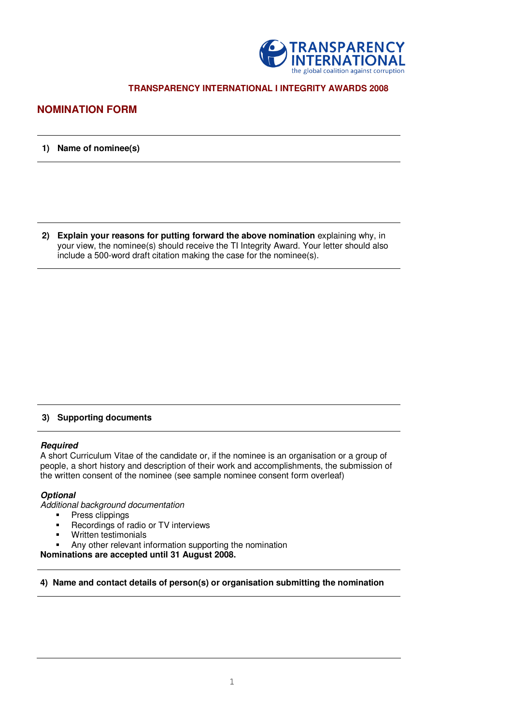

# **TRANSPARENCY INTERNATIONAL I INTEGRITY AWARDS 2008**

# **NOMINATION FORM**

## **1) Name of nominee(s)**

**2) Explain your reasons for putting forward the above nomination** explaining why, in your view, the nominee(s) should receive the TI Integrity Award. Your letter should also include a 500-word draft citation making the case for the nominee(s).

## **3) Supporting documents**

#### **Required**

A short Curriculum Vitae of the candidate or, if the nominee is an organisation or a group of people, a short history and description of their work and accomplishments, the submission of the written consent of the nominee (see sample nominee consent form overleaf)

# **Optional**

Additional background documentation

- **Press clippings**
- **Recordings of radio or TV interviews**
- Written testimonials
- Any other relevant information supporting the nomination

**Nominations are accepted until 31 August 2008.** 

# **4) Name and contact details of person(s) or organisation submitting the nomination**